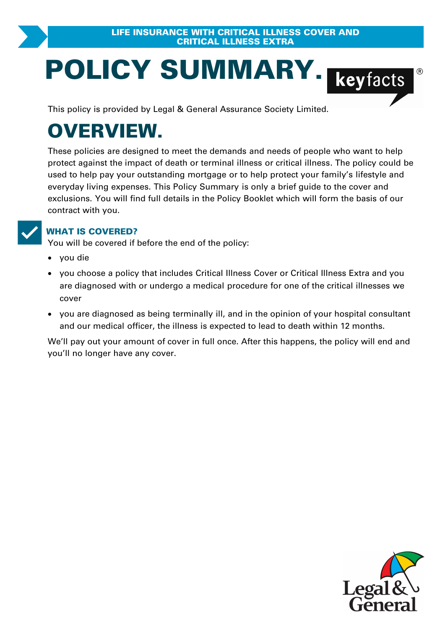# **POLICY SUMMARY.**<br>
This policy is provided by Legal & General Assurance Society Limited.

# **OVERVIEW.**

These policies are designed to meet the demands and needs of people who want to help **PRYIEW.**<br>These policies are designed to meet the demands and needs of people who want to help<br>protect against the impact of death or terminal illness or critical illness. The policy could be<br>used to help pay your outstand used to help pay your outstanding mortgage or to help protect your family's lifestyle and These policies are designed to meet the demands and needs of people who want to help<br>protect against the impact of death or terminal illness or critical illness. The policy could b<br>used to help pay your outstanding mortgag exclusions. You will find full details in the Policy Booklet which will form the basis of our contract with you.

**VORGOVERED?**<br>
You will be covered if before the end of the policy:

- · you die
- you choose a policy that includes Critical Illness Cover or Critical Illness Extra and you **IAT IS COVERED?**<br>u will be covered if before the end of the policy:<br>you choose a policy that includes Critical Illness Cover or Critical Illness Extra and you<br>are diagnosed with or undergo a medical procedure for one of t are diagnosed if before the end of the policy:<br>you die<br>you choose a policy that includes Critical Illness Cover or Critical Illness Extra and you<br>are diagnosed with or undergo a medical procedure for one of the critical il cover
- · you are diagnosed as being terminally ill, and in the opinion of your hospital consultant and our medical officer, the illness is expected to lead to death within 12 months.

We'll pay out your amount of cover in full once. After this happens, the policy will end and you'll no longer have any cover.

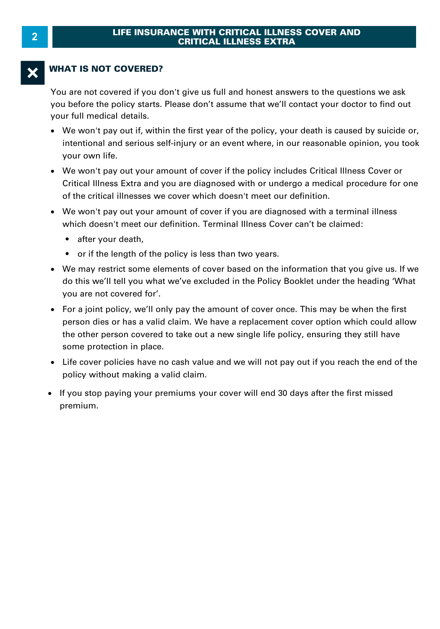#### **WHAT IS NOT COVERED?**

You are not covered if you don't give us full and honest answers to the questions we ask you before the policy starts. Please don't assume that we'll contact your doctor to find out your full medical details.

- · We won't pay out if, within the first year of the policy, your death is caused by suicide or, your own life.
- The world pay out it, whill the mist year of the policy, your death is caused by suicide of,<br>intentional and serious self-injury or an event where, in our reasonable opinion, you took<br>your own life.<br>We won't pay out your a • We won't pay out your amount of cover if the policy includes Critical Illness Cover or Critical Illness Extra and you are diagnosed with or undergo a medical procedure for one<br>of the critical illnesses we cover which doesn't meet our definition.
- We won't pay out your amount of cover if you are diagnosed with a terminal illness which doesn't meet our definition. Terminal Illness Cover can't be claimed:
	- after your death.
	- or if the length of the policy is less than two years.
- We may restrict some elements of cover based on the information that you give us. If we do this we'll tell you what we've excluded in the Policy Booklet under the heading 'What you are not covered for'.<br>• For a joint pol do this we'll tell you what we've excluded in the Policy Booklet under the heading 'What you are not covered for'.
- For a joint policy, we'll only pay the amount of cover once. This may be when the first person dies or has a valid claim. We have a replacement cover once. This may be when the first<br>you are not covered for'.<br>For a joint policy, we'll only pay the amount of cover once. This may be when the first<br>person dies o person dies or has a valid claim. We have a replacement cover option which could allow<br>the other person covered to take out a new single life policy, ensuring they still have some protection in place. policies of his a valid claim. We have the other person covered to take out a net some protection in place.<br>• Life cover policies have no cash value are policy without making a valid claim.
- · Life cover policies have no cash value and we will not pay out if you reach the end of the
- If you stop paying your premiums your cover will end 30 days after the first missed premium.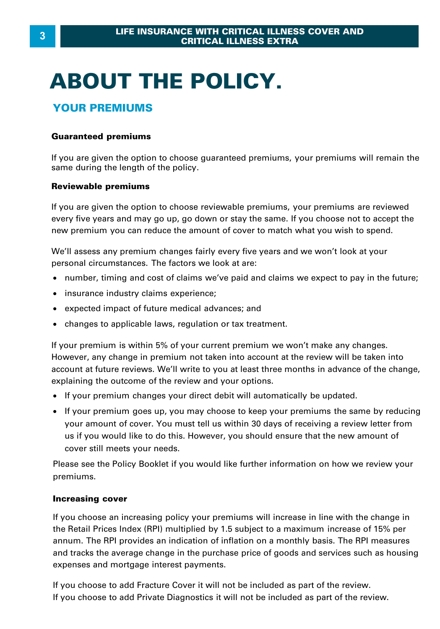# **ABOUT THE POLICY.**

#### **YOUR PREMIUMS**

#### **Guaranteed premiums**

If you are given the option to choose guaranteed premiums, your premiums will remain the same during the length of the policy.

#### **Reviewable premiums**

If you are given the option to choose reviewable premiums, your premiums are reviewed every five years and may go up, go down or stay the same. If you choose not to accept the new premium you can reduce the amount of cover to match what you wish to spend.

We'll assess any premium changes fairly every five years and we won't look at your personal circumstances. The factors we look at are:

- · number, timing and cost of claims we've paid and claims we expect to pay in the future;
- · insurance industry claims experience;
- · expected impact of future medical advances; and
- · changes to applicable laws, regulation or tax treatment.

If your premium is within 5% of your current premium we won't make any changes. However, any change in premium not taken into account at the review will be taken into account at future reviews. We'll write to you at least three months in advance of the change, explaining the outcome of the review and your options.

- · If your premium changes your direct debit will automatically be updated.
- · If your premium goes up, you may choose to keep your premiums the same by reducing Frame in the current of the review and your options.<br>If your premium changes your direct debit will automatically be updated.<br>If your premium goes up, you may choose to keep your premiums the same by reducing<br>your amount o us if you would like to do this. However, you should ensure that the new amount of cover still meets your needs.

Please see the Policy Booklet if you would like further information on how we review your premiums.

#### **Increasing cover**

If you choose an increasing policy your premiums will increase in line with the change in the Retail Prices Index (RPI) multiplied by 1.5 subject to a maximum increase of 15% per<br>annum. The RPI provides an indication of inflation on a monthly basis. The RPI measures **Increasing cover**<br>If you choose an increasing policy your premiums will increase in line with the change in<br>the Retail Prices Index (RPI) multiplied by 1.5 subject to a maximum increase of 15% per<br>annum. The RPI provides expenses and mortgage interest payments.

If you choose to add Fracture Cover it will not be included as part of the review. If you choose to add Private Diagnostics it will not be included as part of the review.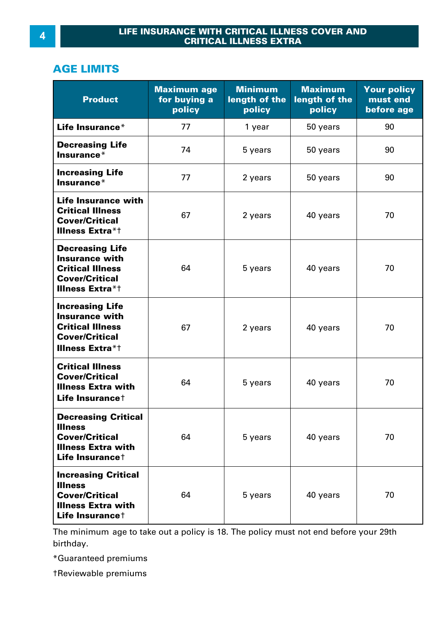#### **AGE LIMITS**

| <b>Product</b>                                                                                                                    | <b>Maximum age</b><br>for buying a<br>policy | <b>Minimum</b><br>length of the<br>policy | <b>Maximum</b><br>length of the<br>policy | <b>Your policy</b><br>must end<br>before age |
|-----------------------------------------------------------------------------------------------------------------------------------|----------------------------------------------|-------------------------------------------|-------------------------------------------|----------------------------------------------|
| Life Insurance*                                                                                                                   | 77                                           | 1 year                                    | 50 years                                  | 90                                           |
| <b>Decreasing Life</b><br>Insurance*                                                                                              | 74                                           | 5 years                                   | 50 years                                  | 90                                           |
| <b>Increasing Life</b><br>Insurance*                                                                                              | 77                                           | 2 years                                   | 50 years                                  | 90                                           |
| Life Insurance with<br><b>Critical Illness</b><br><b>Cover/Critical</b><br><b>Illness Extra*t</b>                                 | 67                                           | 2 years                                   | 40 years                                  | 70                                           |
| <b>Decreasing Life</b><br><b>Insurance with</b><br><b>Critical Illness</b><br><b>Cover/Critical</b><br><b>Illness Extra*t</b>     | 64                                           | 5 years                                   | 40 years                                  | 70                                           |
| <b>Increasing Life</b><br><b>Insurance with</b><br><b>Critical Illness</b><br><b>Cover/Critical</b><br><b>Illness Extra*t</b>     | 67                                           | 2 years                                   | 40 years                                  | 70                                           |
| <b>Critical Illness</b><br><b>Cover/Critical</b><br><b>Illness Extra with</b><br>Life Insurance <sup>+</sup>                      | 64                                           | 5 years                                   | 40 years                                  | 70                                           |
| <b>Decreasing Critical</b><br><b>Illness</b><br><b>Cover/Critical</b><br><b>Illness Extra with</b><br>Life Insurance <sup>+</sup> | 64                                           | 5 years                                   | 40 years                                  | 70                                           |
| <b>Increasing Critical</b><br><b>Illness</b><br><b>Cover/Critical</b><br><b>Illness Extra with</b><br>Life Insurance <sup>+</sup> | 64                                           | 5 years                                   | 40 years                                  | 70                                           |

The minimum age to take out a policy is 18. The policy must not end before your 29th birthday.

\*Guaranteed premiums

†Reviewable premiums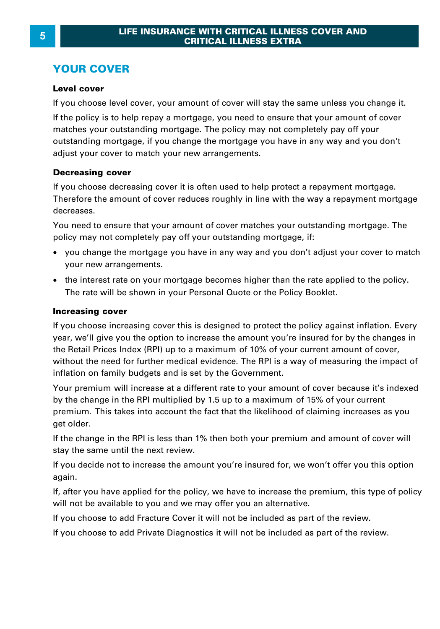#### **YOUR COVER**

#### **Level cover**

If you choose level cover, your amount of cover will stay the same unless you change it.

If the policy is to help repay a mortgage, you need to ensure that your amount of cover matches your outstanding mortgage. The policy may not completely pay off your outstanding mortgage, if you change the mortgage you have in any way and you don't adjust your cover to match your new arrangements.

**Decreasing cover**<br>If you choose decreasing cover it is often used to help protect a repayment mortgage.<br>Therefore the amount of cover reduces roughly in line with the way a repayment mortgage decreases.

You need to ensure that your amount of cover matches your outstanding mortgage. The policy may not completely pay off your outstanding mortgage, if:

- · you change the mortgage you have in any way and you don't adjust your cover to match your new arrangements.
- · the interest rate on your mortgage becomes higher than the rate applied to the policy. The rate will be shown in your Personal Quote or the Policy Booklet.

#### **Increasing cover**

If you choose increasing cover this is designed to protect the policy against inflation. Every year, we'll give you the option to increase the amount you're insured for by the changes in **Increasing cover**<br>If you choose increasing cover this is designed to protect the policy against inflation. Every<br>year, we'll give you the option to increase the amount you're insured for by the changes in<br>the Retail Price **Increasing cover**<br>If you choose increasing cover this is designed to protect the policy against inflation. Every<br>year, we'll give you the option to increase the amount you're insured for by the changes in<br>the Retail Price inflation on family budgets and is set by the Government. the Retail Prices Index (RPI) up to a maximum of 10% of your current amount of cover,<br>without the need for further medical evidence. The RPI is a way of measuring the impact of<br>inflation on family budgets and is set by the without the need for further medical evidence. The RPI is a way of measuring the impact of

premium. This takes into account the fact that the likelihood of claiming increases as you get older.

If the change in the RPI is less than 1% then both your premium and amount of cover will stay the same until the next review.

If you decide not to increase the amount you're insured for, we won't offer you this option again.

If, after you have applied for the policy, we have to increase the premium, this type of policy will not be available to you and we may offer you an alternative.

If you choose to add Fracture Cover it will not be included as part of the review.

If you choose to add Private Diagnostics it will not be included as part of the review.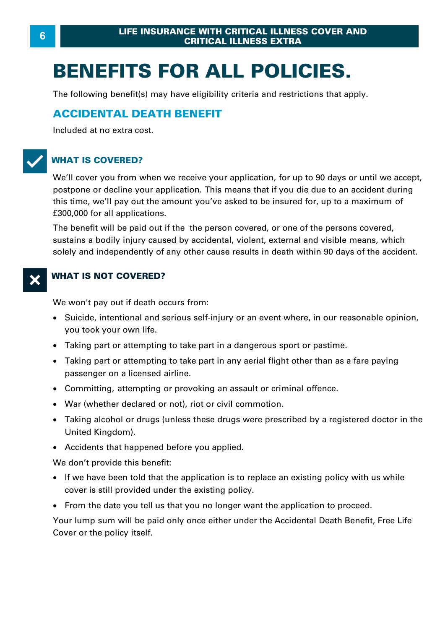# **BENEFITS FOR ALL POLICIES.**

The following benefit(s) may have eligibility criteria and restrictions that apply.

#### **ACCIDENTAL DEATH BENEFIT**

Included at no extra cost.

### T**WHAT IS COVERED?**

We'll cover you from when we receive your application, for up to 90 days or until we accept, postpone or decline your application. This means that if you die due to an accident during WHAT IS COVERED?<br>We'll cover you from when we receive your application, for up to 90 days or until we accept,<br>postpone or decline your application. This means that if you die due to an accident during<br>this time, we'll pay £300,000 for all applications. this time, we'll pay out the amount you've asked to be insured for, up to a maximum of f300,000 for all applications.<br>The benefit will be paid out if the the person covered, or one of the persons covered, sustains a bodily

The benefit will be paid out if the the person covered, or one of the persons covered , solely and independently of any other cause results in death within 90 days of the accident.

#### **WHAT IS NOT COVERED?**

We won't pay out if death occurs from:

- · Suicide, intentional and serious self-injury or an event where, in our reasonable opinion, you took your own life. We won't pay out if death occurs from:<br>• Suicide, intentional and serious self-injury or an event where, in our reasor<br>you took your own life.<br>• Taking part or attempting to take part in a dangerous sport or pastime.<br>• Tak Suicide, intentional and serious self-injury or an event where, in our reasonable opinion,<br>you took your own life.<br>Taking part or attempting to take part in a dangerous sport or pastime.<br>Taking part or attempting to take p
- ·
- you took your own life.<br>• Taking part or attempting to take pa<br>• Taking part or attempting to take pa<br>• passenger on a licensed airline.<br>• Committine. attempting or provoking
- Committing, attempting or provoking an assault or criminal offence.
- · War (whether declared or not), riot or civil commotion.
- ·passenger on a licensed airline.<br>Committing, attempting or provoking an assault or criminal offence.<br>War (whether declared or not), riot or civil commotion.<br>Taking alcohol or drugs (unless these drugs were prescribed by a United Kingdom).
- · Accidents that happened before you applied.

We don't provide this benefit:

- · If we have been told that the application is to replace an existing policy with us while cover is still provided under the existing policy.
- · From the date you tell us that you no longer want the application to proceed.

Your lump sum will be paid only once either under the Accidental Death Benefit, Free Life Cover or the policy itself.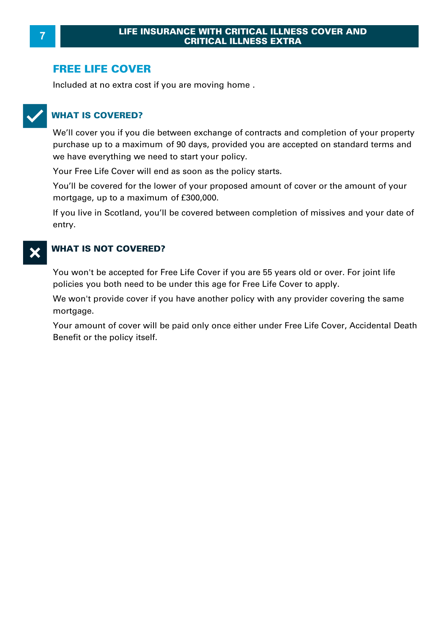#### **FREE LIFE COVER**

Included at no extra cost if you are moving home .



#### T**WHAT IS COVERED?**

We'll cover you if you die between exchange of contracts and completion of your property WHAT IS COVERED?<br>We'll cover you if you die between exchange of contracts and completion of your property<br>purchase up to a maximum of 90 days, provided you are accepted on standard terms and<br>we have everything we need to s

Your Free Life Cover will end as soon as the policy starts.

we have everything we need to start your policy.<br>
Your Free Life Cover will end as soon as the policy state You'll be covered for the lower of your proposed ame<br>
mortgage, up to a maximum of £300,000.<br>
If you live in Scotl You'll be covered for the lower of your proposed amount of cover or the amount of your

If you live in Scotland, you'll be covered between completion of missives and your date of entry.

#### **WHAT IS NOT COVERED?**

You won't be accepted for Free Life Cover if you are 55 years old or over. For joint life policies you both need to be under this age for Free Life Cover to apply.

We won't provide cover if you have another policy with any provider covering the same mortgage.

Your amount of cover will be paid only once either under Free Life Cover, Accidental Death Benefit or the policy itself.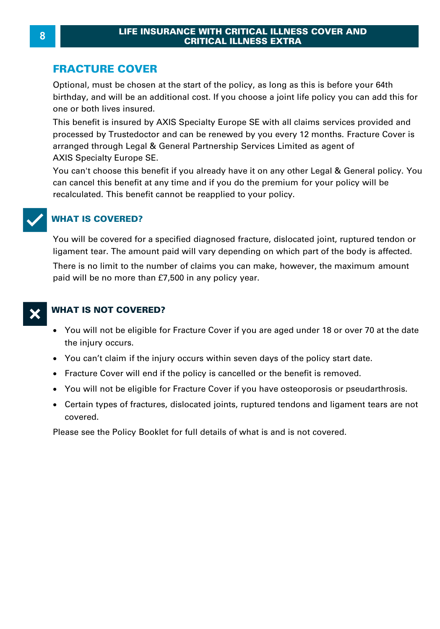#### **FRACTURE COVER**

Optional, must be chosen at the start of the policy, as long as this is before your 64th birthday, and will be an additional cost. If you choose a joint life policy you can add this for one or both lives insured.

This benefit is insured by AXIS Specialty Europe SE with all claims services provided and processed by Trustedoctor and can be renewed by you every 12 months. Fracture Cover is arranged through Legal & General Partnership Services Limited as agent of AXIS Specialty Europe SE.

You can't choose this benefit if you already have it on any other Legal & General policy. You can cancel this benefit at any time and if you do the premium for your policy will be recalculated. This benefit cannot be reapplied to your policy.



#### T**WHAT IS COVERED?**

recalculated. This benefit cannot be reapplied to your policy.<br> **WHAT IS COVERED?**<br>
You will be covered for a specified diagnosed fracture, dislocated joint, ruptured tendon or<br>|ligament tear. The amount paid will vary dep

There is no limit to the number of claims you can make, however, the maximum amount paid will be no more than £7,500 in any policy year.



#### **WHAT IS NOT COVERED?**

- · You will not be eligible for Fracture Cover if you are aged under 18 or over 70 at the date the injury occurs.
- · [You can't claim if the injury occurs within](http://www.trustedoctor.com/landg-fracture-cover) seven days of the policy start date.
- · Fracture Cover will end if the policy is cancelled or the benefit is removed.
- · You will not be eligible for Fracture Cover if you have osteoporosis or pseudarthrosis.
- · Certain types of fractures, dislocated joints, ruptured tendons and ligament tears are not covered.

Please see the Policy Booklet for full details of what is and is not covered.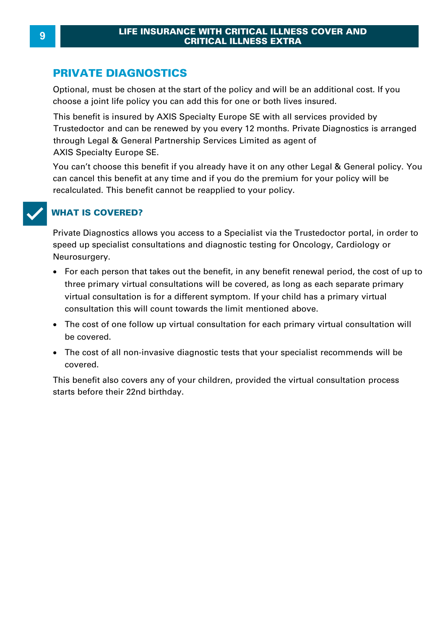#### **PRIVATE DIAGNOSTICS**

Optional, must be chosen at the start of the policy and will be an additional cost. If you **PRIVATE DIAGNOSTICS**<br>Optional, must be chosen at the start of the policy and will be an additional<br>choose a joint life policy you can add this for one or both lives insured.<br>This benefit is insured by AXIS Specialty Europ

This benefit is insured by AXIS Specialty Europe SE with all services provided by Trustedoctor and can be renewed by you every 12 months. Private Diagnostics is arranged through Legal & General Partnership Services Limited as agent of AXIS Specialty Europe SE.

You can't choose this benefit if you already have it on any other Legal & General policy. You can cancel this benefit at any time and if you do the premium for your policy will be recalculated. This benefit cannot be reapplied to your policy.



#### T**WHAT IS COVERED?**

Private Diagnostics allows you access to a Specialist via the Trustedoctor portal, in order to speed up specialist consultations and diagnostic testing for Oncology, Cardiology or Neurosurgery.

- · For each person that takes out the benefit, in any benefit renewal period, the cost of up to three primary virtual consultations will be covered, as long as each separate primary virtual consultation is for a different symptom. If your child has a primary virtual consultation this will count towards the limit mentioned above.
- · The cost of one follow up virtual consultation for each primary virtual consultation will be covered.
- · The cost of all non-invasive diagnostic tests that your specialist recommends will be covered.

This benefit also covers any of your children, provided the virtual consultation process starts before their 22nd birthday.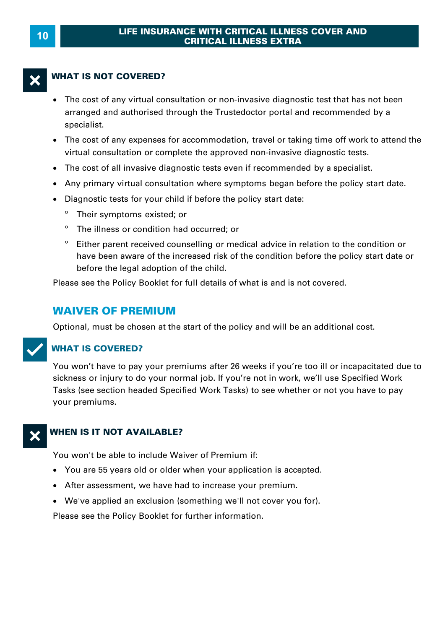#### **WHAT IS NOT COVERED?**

- · The cost of any virtual consultation or non-invasive diagnostic test that has not been arranged and authorised through the Trustedoctor portal and recommended by a specialist.
- · The cost of any expenses for accommodation, travel or taking time off work to attend the virtual consultation or complete the approved non-invasive diagnostic tests. Superialist.<br>
• The cost of any expenses for accommodation, travel or taking time off work to attivirtual consultation or complete the approved non-invasive diagnostic tests.<br>
• The cost of all invasive diagnostic tests ev
- The cost of all invasive diagnostic tests even if recommended by a specialist.
- Any primary virtual consultation where symptoms began before the policy start date.
- · Diagnostic tests for your child if before the policy start date:
	- º Their symptoms existed; or
	- º The illness or condition had occurred; or
	- º Either parent received counselling or medical advice in relation to the condition or have been aware of the increased risk of the condition before the policy start date or before the legal adoption of the child.

Please see the Policy Booklet for full details of what is and is not covered.

#### **WAIVER OF PREMIUM**

Optional, must be chosen at the start of the policy and will be an additional cost.

#### **WHAT IS COVERED?**

You won't have to pay your premiums after 26 weeks if you're too ill or incapacitated due to sickness or injury to do your normal job. If you're not in work, we'll use Specified Work Tasks (see section headed Specified Work Tasks) to see whether or not you have to pay your premiums.

#### X**WHEN IS IT NOT AVAILABLE?**

You won't be able to include Waiver of Premium if:

- · You are 55 years old or older when your application is accepted.
- · After assessment, we have had to increase your premium.
- · We've applied an exclusion (something we'll not cover you for).

Please see the Policy Booklet for further information.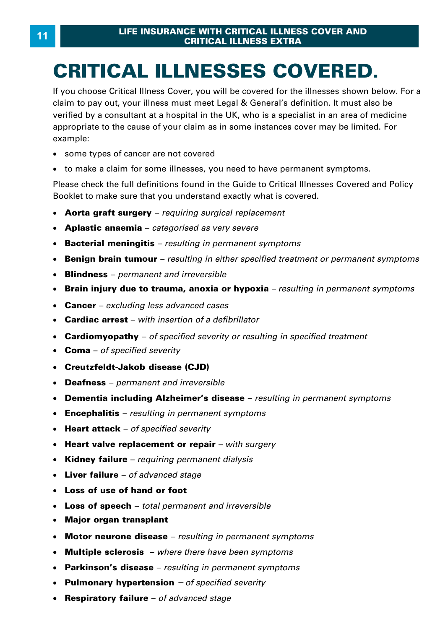# **CRITICAL ILLNESSES COVERED.**

If you choose Critical Illness Cover, you will be covered for the illnesses shown below. For a **CRITICAL ILLNESSES COVERED.**<br>If you choose Critical Illness Cover, you will be covered for the illnesses shown below. For<br>claim to pay out, your illness must meet Legal & General's definition. It must also be<br>verified by **CRITICAL ILLNESSES COVERED.**<br>If you choose Critical Illness Cover, you will be covered for the illnesses shown below. For a<br>claim to pay out, your illness must meet Legal & General's definition. It must also be<br>verified b Formal by a consultant at a hoopital in the City who is a opposition in an area of meansing<br>appropriate to the cause of your claim as in some instances cover may be limited. For<br>• some types of cancer are not covered<br>• to example:

- · some types of cancer are not covered
- to make a claim for some illnesses, you need to have permanent symptoms.

Please check the full definitions found in the Guide to Critical Illnesses Covered and Policy Booklet to make sure that you understand exactly what is covered.

- · **Aorta graft surgery**  *requiring surgical replacement*
- · **Aplastic anaemia**  *categorised as very severe*
- · **Bacterial meningitis**  *resulting in permanent symptoms*
- · **Benign brain tumour**  *resulting in either specified treatment or permanent symptoms*
- · **Blindness**  *permanent and irreversible*
- Brain injury due to trauma, anoxia or hypoxia resulting in permanent symptoms **Brain injury due to trauma, anoxia or hypoxia** *– resulting in permanent symptoms*<br>Cancer – *excluding less advanced cases*<br>Cardiac arrest – with insertion of a defibrillator<br>Cardiomyopathy – of specified severity or resu
- · **Cancer**  *excluding less advanced cases*
- · **Cardiac arrest**  *with insertion of a defibrillator*
- · **Cardiomyopathy**  *of specified severity or resulting in specified treatment*
- · **Coma**  *of specified severity*
- · **Creutzfeldt-Jakob disease (CJD)**
- · **Deafness**  *permanent and irreversible*
- · **Dementia including Alzheimer's disease**  *resulting in permanent symptoms*
- · **Encephalitis**  *resulting in permanent symptoms*
- · **Heart attack**  *of specified severity*
- · **Heart valve replacement or repair**  *with surgery*
- · **Kidney failure**  *requiring permanent dialysis*
- · **Liver failure**  *of advanced stage*
- · **Loss of use of hand or foot**
- · **Loss of speech**  *total permanent and irreversible*
- · **Major organ transplant**
- · **Motor neurone disease**  *resulting in permanent symptoms*
- · **Multiple sclerosis**  *where there have been symptoms*
- · **Parkinson's disease**  *resulting in permanent symptoms*
- · **Pulmonary hypertension** *– of specified severity*
- · **Respiratory failure**  *of advanced stage*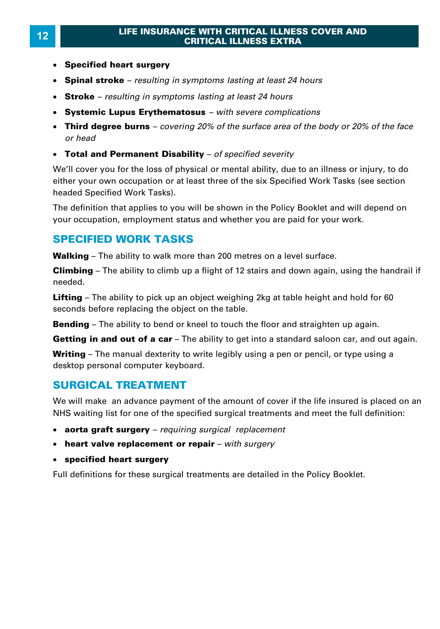- · **Specified heart surgery**
- · **Spinal stroke**  *resulting in symptoms lasting at least 24 hours*
- · **Stroke**  *resulting in symptoms lasting at least 24 hours*
- · **Systemic Lupus Erythematosus**  *with severe complications*
- · **Third degree burns**  *covering 20% of the surface area of the body or 20% of the face*
- · **Total and Permanent Disability**  *of specified severity*

We'll cover you for the loss of physical or mental ability, due to an illness or injury, to do either your own occupation or at least three of the six Specified Work Tasks (see section headed Specified Work Tasks).

The definition that applies to you will be shown in the Policy Booklet and will depend on your occupation, employment status and whether you are paid for your work. The definition that applies to you will be shown in the Policy Booklet and wi<br>your occupation, employment status and whether you are paid for your wor<br>**SPECIFIED WORK TASKS**<br>Walking – The ability to walk more than 200 metr

#### **SPECIFIED WORK TASKS**

your occupation, employment status and whether you are paid for your work.<br>**SPECIFIED WORK TASKS**<br>Walking – The ability to walk more than 200 metres on a level surface.<br>Climbing – The ability to climb up a flight of 12 sta needed. **Walking –** The ability to walk more than 200 metres on a level surface.<br>**Climbing –** The ability to climb up a flight of 12 stairs and down again, using the handrail<br>needed.<br>**Lifting –** The ability to pick up an object we

seconds before replacing the object on the table. **Lifting** – The ability to pick up an object weighing 2kg at table height and hold for 60 seconds before replacing the object on the table.<br>**Bending** – The ability to bend or kneel to touch the floor and straighten up agai **Lifting –** The ability to pick up an object weighing 2kg at table height and hold for 60 seconds before replacing the object on the table.<br>**Bending –** The ability to bend or kneel to touch the floor and straighten up agai

seconds before replacing the object on the table.<br>**Bending** – The ability to bend or kneel to touch the floor and straighten up again.<br>**Getting in and out of a car** – The ability to get into a standard saloon car, and out desktop personal computer keyboard.

#### **SURGICAL TREATMENT**

We will make an advance payment of the amount of cover if the life insured is placed on an NHS waiting list for one of the specified surgical treatments and meet the full definition:

- · **aorta graft surgery**  *requiring surgical replacement*
- · **heart valve replacement or repair**  *with surgery*
- · **specified heart surgery**

Full definitions for these surgical treatments are detailed in the Policy Booklet.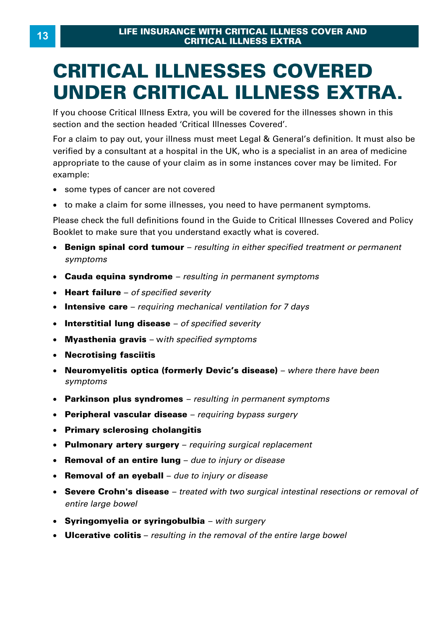# **CRITICAL ILLNESSES COVERED**

If you choose Critical Illness Extra, you will be covered for the illnesses shown in this section and the section headed 'Critical Illnesses Covered'.

**UNDER CRITICAL ILLNESS EXTRA.**<br>
If you choose Critical Illness Extra, you will be covered for the illnesses shown in this<br>
section and the section headed 'Critical Illnesses Covered'.<br>
For a claim to pay out, your illness For a claim to pay out, your illness must meet Legal & General's definition. It must also be<br>verified by a consultant at a hospital in the UK, who is a specialist in an area of medicine Formal by a consultant at a hoopital in the City who is a opposition in an area of meansing<br>appropriate to the cause of your claim as in some instances cover may be limited. For<br>• some types of cancer are not covered<br>• to example:

- · some types of cancer are not covered
- to make a claim for some illnesses, you need to have permanent symptoms.

Please check the full definitions found in the Guide to Critical Illnesses Covered and Policy Booklet to make sure that you understand exactly what is covered.

- · **Benign spinal cord tumour**  *resulting in either specified treatment or permanent symptoms*
- · **Cauda equina syndrome**  *resulting in permanent symptoms*
- · **Heart failure**  *of specified severity*
- · **Intensive care**  *requiring mechanical ventilation for 7 days*
- · **Interstitial lung disease**  *of specified severity*
- · **Myasthenia gravis**  w*ith specified symptoms*
- · **Necrotising fasciitis**
- · **Neuromyelitis optica (formerly Devic's disease)**  *where there have been symptoms*
- · **Parkinson plus syndromes**  *resulting in permanent symptoms*
- · **Peripheral vascular disease**  *requiring bypass surgery*
- · **Primary sclerosing cholangitis**
- · **Pulmonary artery surgery**  *requiring surgical replacement*
- · **Removal of an entire lung**  *due to injury or disease*
- · **Removal of an eyeball**  *due to injury or disease*
- · **Severe Crohn's disease**  *treated with two surgical intestinal resections or removal of entire large bowel*
- · **Syringomyelia or syringobulbia**  *with surgery*
- · **Ulcerative colitis**  *resulting in the removal of the entire large bowel*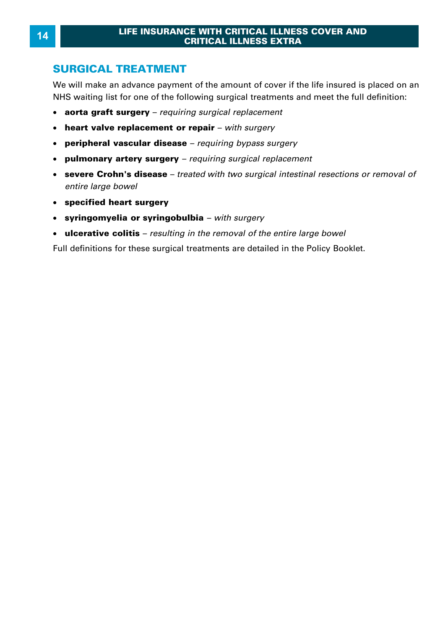#### **SURGICAL TREATMENT**

We will make an advance payment of the amount of cover if the life insured is placed on an NHS waiting list for one of the following surgical treatments and meet the full definition:

- · **aorta graft surgery**  *requiring surgical replacement*
- · **heart valve replacement or repair**  *with surgery*
- · **peripheral vascular disease**  *requiring bypass surgery*
- · **pulmonary artery surgery**  *requiring surgical replacement*
- · **severe Crohn's disease**  *treated with two surgical intestinal resections or removal of entire large bowel*
- · **specified heart surgery**
- · **syringomyelia or syringobulbia**  *with surgery*
- · **ulcerative colitis**  *resulting in the removal of the entire large bowel*

Full definitions for these surgical treatments are detailed in the Policy Booklet.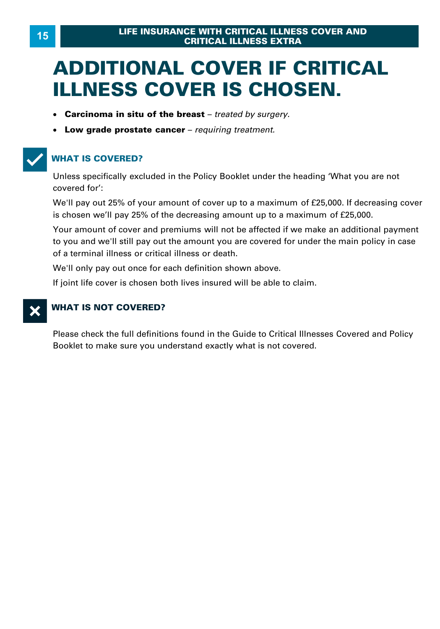# **ADDITIONAL COVER IF CRITICAL ILLNESS COVER IS CHOSEN.**

- · **Carcinoma in situ of the breast**  *treated by surgery.*
- · **Low grade prostate cancer**  *requiring treatment.*

#### T**WHAT IS COVERED?**

Unless specifically excluded in the Policy Booklet under the heading 'What you are not covered for':

We'll pay out 25% of your amount of cover up to a maximum of £25,000. If decreasing cover is chosen we'll pay 25% of the decreasing amount up to a maximum of £25,000.

Your amount of cover and premiums will not be affected if we make an additional payment to you and we'll still pay out the amount you are covered for under the main policy in case of a terminal illness or critical illness or death .

We'll only pay out once for each definition shown above.

If joint life cover is chosen both lives insured will be able to claim.

#### X**WHAT IS NOT COVERED?**

Please check the full definitions found in the Guide to Critical Illnesses Covered and Policy Booklet to make sure you understand exactly what is not covered.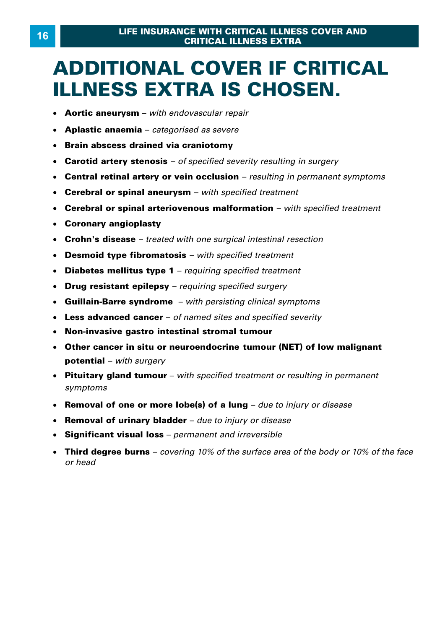# **ADDITIONAL COVER IF CRITICAL ILLNESS EXTRA IS CHOSEN.**

- · **Aortic aneurysm**  *with endovascular repair*
- · **Aplastic anaemia**  *categorised as severe*
- · **Brain abscess drained via craniotomy**
- · **Carotid artery stenosis**  *of specified severity resulting in surgery*
- · **Central retinal artery or vein occlusion**  *resulting in permanent symptoms*
- · **Cerebral or spinal aneurysm**  *with specified treatment*
- · **Cerebral or spinal arteriovenous malformation**  *with specified treatment*
- · **Coronary angioplasty**
- · **Crohn's disease**  *treated with one surgical intestinal resection*
- · **Desmoid type fibromatosis**  *with specified treatment*
- · **Diabetes mellitus type 1**  *requiring specified treatment*
- · **Drug resistant epilepsy**  *requiring specified surgery*
- · **Guillain-Barre syndrome**  *with persisting clinical symptoms*
- · **Less advanced cancer**  *of named sites and specified severity*
- · **Non-invasive gastro intestinal stromal tumour**
- · **Other cancer in situ or neuroendocrine tumour (NET) of low malignant potential** – *with surgery*
- · **Pituitary gland tumour**  *with specified treatment or resulting in permanent symptoms* **potential –** with surgery<br>**Pituitary gland tumour –** with specified treatment or resulting in permanent<br>symptoms<br>Removal of one or more lobe(s) of a lung – due to injury or disease<br>Removal of urinary bladder – due to inju
- Removal of one or more lobe(s) of a lung due to injury or disease
- · **Removal of urinary bladder**  *due to injury or disease*
- · **Significant visual loss**  *permanent and irreversible*
- · **Third degree burns**  *covering 10% of the surface area of the body or 10% of the face*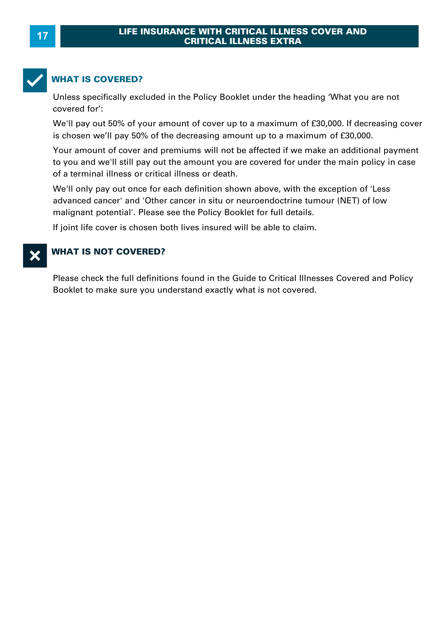

#### **WHAT IS COVERED?**

Unless specifically excluded in the Policy Booklet under the heading 'What you are not covered for': Unless specifically excluded in the Policy Booklet under the heading 'What you are no<br>covered for':<br>We'll pay out 50% of your amount of cover up to a maximum of £30,000. If decreasin<br>is chosen we'll pay 50% of the decreasi

WHAT IS COVERED?<br>Unless specifically excluded in the Policy Booklet under the heading 'What you are not<br>covered for':<br>We'll pay out 50% of your amount of cover up to a maximum of £30,000. If decreasing cover<br>is chosen we'l

Your amount of cover and premiums will not be affected if we make an additional payment to you and we'll still pay out the amount you are covered for under the main policy in case of a terminal illness or critical illness or death .

We'll only pay out once for each definition shown above, with the exception of 'Less advanced cancer' and 'Other cancer in situ or neuroendoctrine tumour (NET) of low malignant potential'. Please see the Policy Booklet for full details.

If joint life cover is chosen both lives insured will be able to claim.

#### **WHAT IS NOT COVERED?**

Please check the full definitions found in the Guide to Critical Illnesses Covered and Policy Booklet to make sure you understand exactly what is not covered.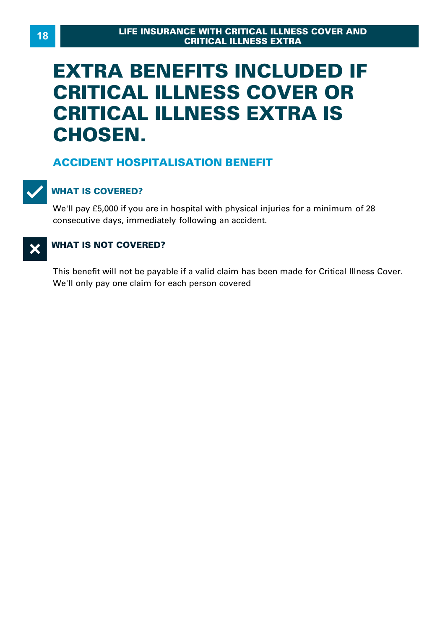# **EXTRA BENEFITS INCLUDED IF CRITICAL ILLNESS COVER OR CRITICAL ILLNESS EXTRA IS CHOSEN.**

#### **ACCIDENT HOSPITALISATION BENEFIT**



#### T**WHAT IS COVERED?**

We'll pay £5,000 if you are in hospital with physical injuries for a minimum of 28 consecutive days, immediately following an accident.

## **X** WHAT IS NOT COVERED?

This benefit will not be payable if a valid claim has been made for Critical Illness Cover . We'll only pay one claim for each person covered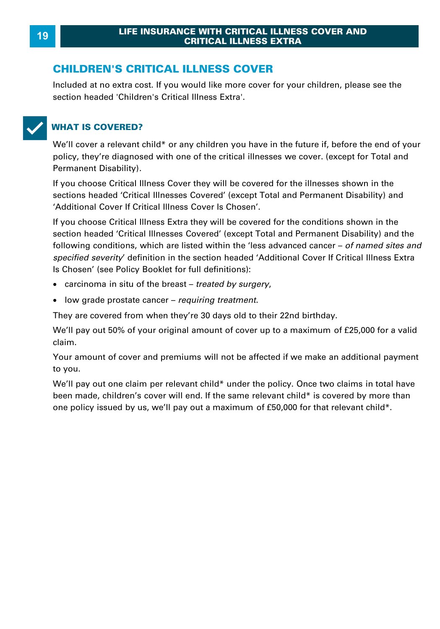#### **CHILDREN'S CRITICAL ILLNESS COVER**

Included at no extra cost. If you would like more cover for your children, please see the section headed 'Children's Critical Illness Extra'.



#### T**WHAT IS COVERED?**

We'll cover a relevant child\* or any children you have in the future if, before the end of your policy, they're diagnosed with one of the critical illnesses we cover . (except for Total and Permanent Disability) .

If you choose Critical Illness Cover they will be covered for the illnesses shown in the sections headed 'Critical Illnesses Covered' (except Total and Permanent Disability) and 'Additional Cover If Critical Illness Cover Is Chosen'.

If you choose Critical Illness Extra they will be covered for the conditions shown in the section headed 'Critical Illnesses Covered' (except Total and Permanent Disability) and the following conditions, which are listed within the 'less advanced cancer – *of named sites and*  <sup>2</sup> Additional Cover If Critical lilness Cover Is Chosen<sup>1</sup>.<br>If you choose Critical Illness Extra they will be covered for the conditions shown in the<br>section headed 'Critical Illnesses Covered' (except Total and Permanent Is Chosen' (see Policy Booklet for full definitions):

- · carcinoma in situ of the breast *treated by surgery* ,
- · low grade prostate cancer *requiring treatment* .

They are covered from when they're 30 days old to their 22nd birthday.

We'll pay out 50% of your original amount of cover up to a maximum of £25,000 for a valid claim.

Your amount of cover and premiums will not be affected if we make an additional payment to you.

We'll pay out one claim per relevant child\* under the policy. Once two claims in total have been made, children's cover will end. If the same relevant child\* is covered by more than Your amount of cover and premiums will not be affected if we make an additional pato you.<br>to you.<br>We'll pay out one claim per relevant child\* under the policy. Once two claims in total<br>been made, children's cover will end.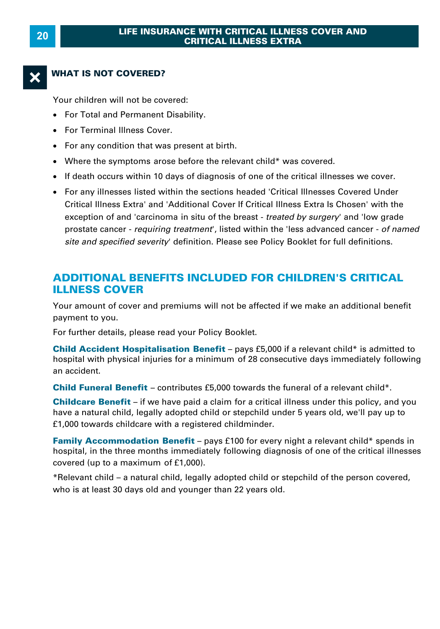#### **WHAT IS NOT COVERED?**

Your children will not be covered:

- · For Total and Permanent Disability.
- · For Terminal Illness Cover.
- · For any condition that was present at birth.
- · Where the symptoms arose before the relevant child\* was covered.
- · If death occurs within 10 days of diagnosis of one of the critical illnesses we cover.
- · For any illnesses listed within the sections headed 'Critical Illnesses Covered Under Critical Illness Extra' and 'Additional Cover If Critical Illness Extra Is Chosen' with the If death occurs within 10 days of diagnosis of one of the critical illnesses we cover.<br>For any illnesses listed within the sections headed 'Critical Illnesses Covered Under<br>Critical Illness Extra' and 'Additional Cover If prostate cancer - *requiring treatment* ', listed within the 'less advanced cancer - *of named* For any illnesses listed within the sections headed 'Critical Illnesses Covered Under<br>Critical Illness Extra' and 'Additional Cover If Critical Illness Extra Is Chosen' with the<br>exception of and 'carcinoma in situ of the b

#### **ADDITIONAL BENEFITS INCLUDED FOR CHILDREN'S CRITICAL ILLNESS COVER**

Your amount of cover and premiums will not be affected if we make an additional benefit payment to you.

For further details, please read your Policy Booklet.

Your amount of cover and premiums will not be affected if we make an additional benefit<br>payment to you.<br>For further details, please read your Policy Booklet.<br>**Child Accident Hospitalisation Benefit** – pays £5,000 if a rele Four amount of cover and premiums will not be anceted if we make an additional benefit<br>payment to you.<br>**Child Accident Hospitalisation Benefit** – pays £5,000 if a relevant child\* is admitted to<br>hospital with physical injur an accident. **Child Accident Hospitalisation Benefit** – pays £5,000 if a relevant child\* is admitted to<br>hospital with physical injuries for a minimum of 28 consecutive days immediately followi<br>an accident.<br>**Child Funeral Benefit** – con hospital with physical injuries for a minimum of 28 consecutive days immediately following<br>an accident.<br>**Child Funeral Benefit** – contributes £5,000 towards the funeral of a relevant child\*.<br>**Childcare Benefit** – if we hav

**Child Funeral Benefit** – contributes £5,000 towards the funeral of a relevant child\*.

£1,000 towards childcare with a registered childminder. **Childcare Benefit** – if we have paid a claim for a critical illness under this policy, and you have a natural child, legally adopted child or stepchild under 5 years old, we'll pay up to £1,000 towards childcare with a re

**Family Accommodation Benefit** – pays £100 for every night a relevant child\* spends in hospital, in the three months immediately following diagnosis of one of the critical illnesse covered (up to a maximum of £1,000).<br>\*Re **Family Accommodation Benefit** – pays £100 for every night a relevant child\* spends in hospital, in the three months immediately following diagnosis of one of the critical illnesses covered (up to a maximum of £1,000).<br>\*R

who is at least 30 days old and younger than 22 years old.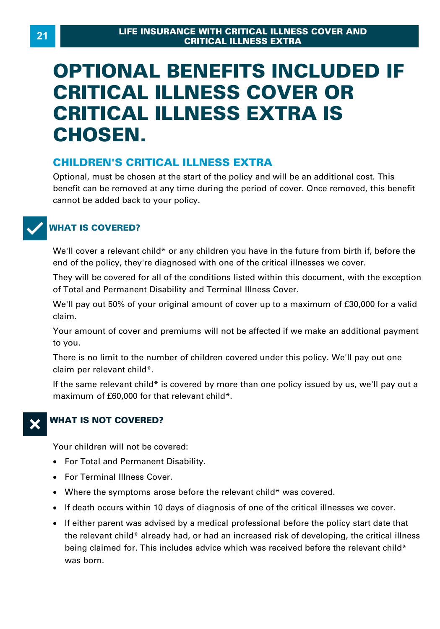# **OPTIONAL BENEFITS INCLUDED IF CRITICAL ILLNESS COVER OR CRITICAL ILLNESS EXTRA IS CHOSEN.**

#### **CHILDREN'S CRITICAL ILLNESS EXTRA**

Optional, must be chosen at the start of the policy and will be an additional cost. This benefit can be removed at any time during the period of cover. Once removed, this benefit cannot be added back to your policy.



#### **WHAT IS COVERED?**

We'll cover a relevant child\* or any children you have in the future from birth if, before the end of the policy, they're diagnosed with one of the critical illnesses we cover.

They will be covered for all of the conditions listed within this document, with the exception of Total and Permanent Disability and Terminal Illness Cover. We'll cover a relevant effind "of any effinancity ou have in the fatate from bitting, before the<br>end of the policy, they're diagnosed with one of the critical illnesses we cover.<br>They will be covered for all of the conditi

claim.

Your amount of cover and premiums will not be affected if we make an additional payment to you.

There is no limit to the number of children covered under this policy. We'll pay out one claim per relevant child\*.

If the same relevant child\* is covered by more than one policy issued by us, we'll pay out a maximum of £60,000 for that relevant child\*.



### X**WHAT IS NOT COVERED?**

Your children will not be covered:

- · For Total and Permanent Disability.
- · For Terminal Illness Cover.
- · Where the symptoms arose before the relevant child\* was covered.
- · If death occurs within 10 days of diagnosis of one of the critical illnesses we cover.
- If either parent was advised by a medical professional before the policy start date that For Terminal Illness Cover.<br>Where the symptoms arose before the relevant child\* was covered.<br>If either parent was advised by a medical professional before the policy start date that<br>the relevant child\* already had, or had being claimed for. This includes advice which was received before the relevant child\* was born.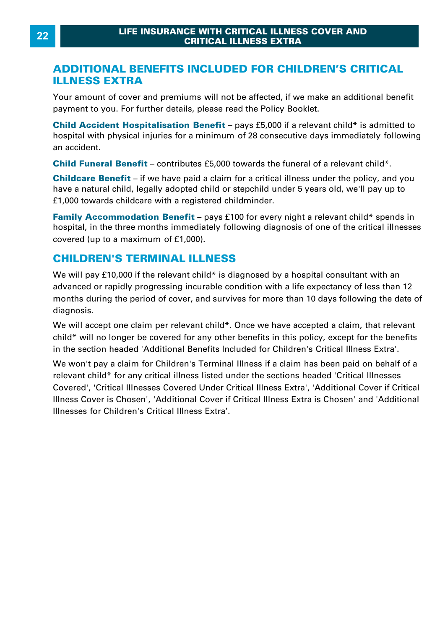#### **ADDITIONAL BENEFITS INCLUDED FOR CHILDREN'S CRITICAL ILLNESS EXTRA**

Your amount of cover and premiums will not be affected, if we make an additional benefit payment to you. For further details, please read the Policy Booklet.

**ILLNESS EXTRA**<br>Your amount of cover and premiums will not be affected, if we make an additional benefit<br>payment to you. For further details, please read the Policy Booklet.<br>Child Accident Hospitalisation Benefit – pays £5 Four amount of cover and premiums will not be affected, if we make an additional benefit<br>payment to you. For further details, please read the Policy Booklet.<br>**Child Accident Hospitalisation Benefit** – pays £5,000 if a rele an accident. **Child Accident Hospitalisation Benefit** – pays £5,000 if a relevant child\* is admitted thospital with physical injuries for a minimum of 28 consecutive days immediately followi<br>an accident.<br>**Child Funeral Benefit** – contr

hospital with physical injuries for a minimum of 28 consecutive days immediately following<br>an accident.<br>**Child Funeral Benefit** – contributes £5,000 towards the funeral of a relevant child\*.<br>**Childcare Benefit** – if we hav have a natural different and the metal child child child funeral different.<br> **Child Funeral Benefit** – contributes £5,000 towards the funeral of a relevant child\*.<br> **Childcare Benefit** – if we have paid a claim for a criti **Child Funeral Benefit** – contributes £5,000 towards the fur<br>**Childcare Benefit** – if we have paid a claim for a critical illr<br>have a natural child, legally adopted child or stepchild under<br>£1,000 towards childcare with a **Childcare Benefit** – if we have paid a claim for a critical illness under the policy, and you have a natural child, legally adopted child or stepchild under 5 years old, we'll pay up to £1,000 towards childcare with a reg

have a natural child, legally adopted child of<br>f1,000 towards childcare with a registered<br>**Family Accommodation Benefit** – pays<br>hospital, in the three months immediately to<br>covered (up to a maximum of f1,000).

#### **CHILDREN'S TERMINAL ILLNESS**

hospital, in the three months immediately following diagnosis of one of the critical illnesses<br>covered (up to a maximum of £1,000).<br>**CHILDREN'S TERMINAL ILLNESS**<br>We will pay £10,000 if the relevant child\* is diagnosed by a covered (up to a maximum of £1,000).<br> **CHILDREN'S TERMINAL ILLNESS**<br>We will pay £10,000 if the relevant child\* is diagnosed by a hospital consultant with an<br>advanced or rapidly progressing incurable condition with a life e diagnosis. We will pay £10,000 if the relevant child\* is diagnosed by a hospital consultant with an<br>advanced or rapidly progressing incurable condition with a life expectancy of less than 12<br>months during the period of cover, and sur

child\* will no longer be covered for any other benefits in this policy, except for the benefits in the section headed 'Additional Benefits Included for Children's Critical Illness Extra'. We will accept one claim per relevant child\*. Once we have accepted a claim, that relevant child\* will no longer be covered for any other benefits in this policy, except for the benefits in the section headed 'Additional B

relevant child\* for any critical illness listed under the sections headed 'Critical Illnesses Covered', 'Critical Illnesses Covered Under Critical Illness Extra', 'Additional Cover if Critical Illness Cover is Chosen', 'Additional Cover if Critical Illness Extra is Chosen' and 'Additional Illnesses for Children's Critical Illness Extra'.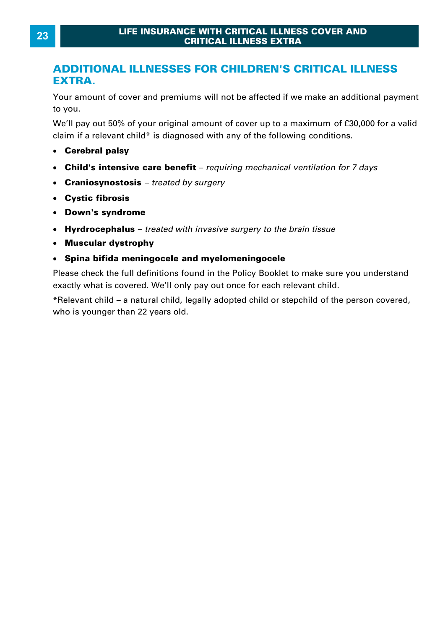#### **ADDITIONAL ILLNESSES FOR CHILDREN'S CRITICAL ILLNESS EXTRA.**

Your amount of cover and premiums will not be affected if we make an additional payment to you. EXTRA.<br>Your amount of cover and premiums will not be affected if we make an additional payment<br>to you.<br>We'll pay out 50% of your original amount of cover up to a maximum of £30,000 for a valid<br>claim if a relevant child\* is Sour amount of cover and premiums will not be affected if we make an add<br>to you.<br>We'll pay out 50% of your original amount of cover up to a maximum of £3t<br>claim if a relevant child\* is diagnosed with any of the following c

- **Cerebral palsy**
- · **Child's intensive care benefit**  *requiring mechanical ventilation for 7 days*
- · **Craniosynostosis**  *treated by surgery*
- · **Cystic fibrosis**
- · **Down's syndrome**
- · **Hyrdrocephalus**  *treated with invasive surgery to the brain tissue*
- · **Muscular dystrophy**
- · **Spina bifida meningocele and myelomeningocele**

Please check the full definitions found in the Policy Booklet to make sure you understand exactly what is covered. We'll only pay out once for each relevant child.

\*Relevant child – a natural child, legally adopted child or stepchild of the person covered, who is younger than 22 years old.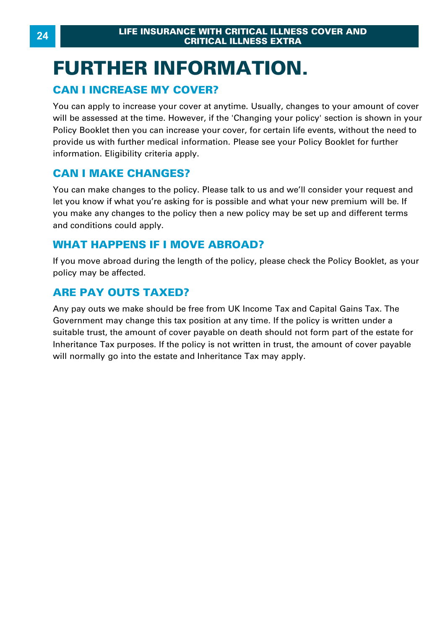# **FURTHER INFORMATION. CRITICAL ILLN**<br>CRITICAL ILLN<br>CAN I INCREASE MY COVER?<br>You can apply to increase your cover at anytime.

You can apply to increase your cover at anytime. Usually, changes to your amount of cover will be assessed at the time. However, if the 'Changing your policy' section is shown in your Policy Booklet then you can increase your cover, for certain life events, without the need to provide us with further medical information. Please see your Policy Booklet for further information. Eligibility criteria apply. For surfapping to minitate year server at all<br>will be assessed at the time. However, if t<br>Policy Booklet then you can increase your<br>provide us with further medical information<br>information. Eligibility criteria apply.<br>**CAN** 

You can make changes to the policy. Please talk to us and we'll consider your request and let you know if what you're asking for is possible and what your new premium will be. If **CAN I MAKE CHANGES?**<br>You can make changes to the policy. Please talk to us and we'll consider your request and<br>let you know if what you're asking for is possible and what your new premium will be. If<br>you make any changes and conditions could apply. You can make changes to the policy. Please talk to us and w<br>let you know if what you're asking for is possible and what y<br>you make any changes to the policy then a new policy may<br>and conditions could apply.<br>**WHAT HAPPENS I** 

If you move abroad during the length of the policy, please check the Policy Booklet, as your policy may be affected.

#### **ARE PAY OUTS TAXED?**

Any pay outs we make should be free from UK Income Tax and Capital Gains Tax. The Government may change this tax position at any time. If the policy is written under a suitable trust, the amount of cover payable on death should not form part of the estate for Inheritance Tax purposes. If the policy is not written in trust, the amount of cover payable will normally go into the estate and Inheritance Tax may apply.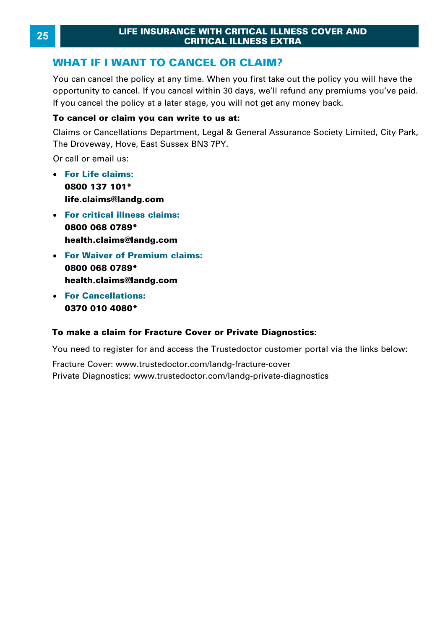You can cancel the policy at any time. When you first take out the policy you will have the To can cancel the policy at any time. When you instrate out the policy you will have the opportunity to cancel. If you cancel within 30 days, we'll refund any premiums you've paid. If you cancel the policy at a later stage **WHAT IF I WANT TO CANCEL OR CLAIM?**<br>You can cancel the policy at any time. When you first take out the policy you opportunity to cancel. If you cancel within 30 days, we'll refund any premium<br>If you cancel the policy at a

#### **To cancel or claim you can write to us at:**

The Droveway, Hove, East Sussex BN3 7PY.

Or call or email us:

- · **For Life claims: 0800 137 101\* life.claims@landg.com**
- · **For critical illness claims: 0800 068 0789\* health.claims@landg.com**
- · **For Waiver of Premium claims: 0800 068 0789\* health.claims@landg.com**
- · **For Cancellations: 0370 010 4080 \***

#### **To make a claim for Fracture Cover or Private Diagnostics:**

You need to re[gister for and access the Trustedoctor custom](https://www.trustedoctor.com/landg-fracture-cover)er portal via the links below:

Fracture Cover: ww[w.trustedoctor.com/landg-fracture-cover](https://www.trustedoctor.com/landg-private-diagnostics)  Private Diagnostics: www.trustedoctor.com/landg-private-diagnostics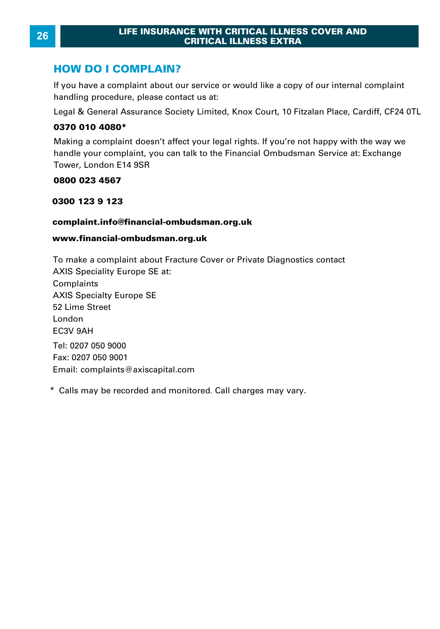**LIFE INSURANCE WINDER THE INSURANCE WILL CRITE**<br> **HOW DO I COMPLAIN?**<br>
If you have a complaint about our servi **HOW DO I COMPLAIN?**<br>If you have a complaint about our service or would like a copy of our internal complaint handling procedure, please contact us at: **HOW DO I COMPLAIN?**<br>If you have a complaint about our service or would like a copy of our internal complaint<br>handling procedure, please contact us at:<br>Legal & General Assurance Society Limited, Knox Court, 10 Fitzalan Pla

#### **0370 010 4080 \***

handling procedure, please contact us at:<br>Legal & General Assurance Society Limited, Knox Court, 10 Fitzalan Place, Cardiff, CF24 0TL<br>**0370 010 4080\***<br>Making a complaint doesn't affect your legal rights. If you're not happ handle your complaint, you can talk to the Financial Ombudsman Service at: Exchange Tower, London E14 9SR **0300 123 9123** 

#### **0800 023 4567**

#### **complaint.info@financial-ombudsman.org.uk**

#### **www.financial-ombudsman.org.uk**

To make a complaint about Fracture Cover or Private Diagnostics contact AXIS Speciality Europe SE at: Complaints AXIS Specialty Europe SE 52 Lime Street London EC3V 9AH Tel: 0207 050 9000 Fax: 0207 050 9001 Email: complaints@axiscapital.com \* Calls may be recorded and monitored. Call charges may vary.